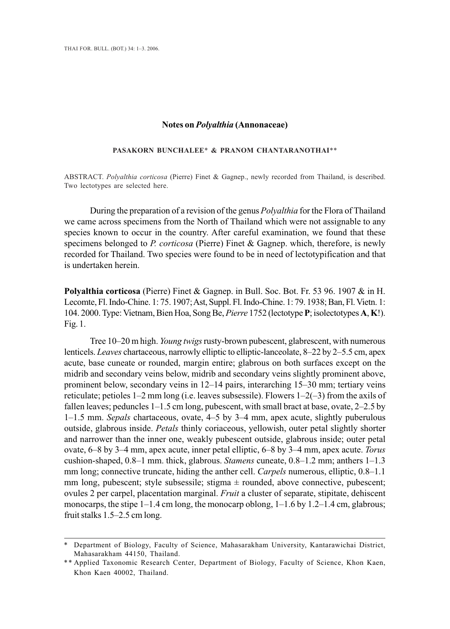## **Notes on** *Polyalthia* **(Annonaceae)**

## **PASAKORN BUNCHALEE**\* **& PRANOM CHANTARANOTHAI**\*\*

ABSTRACT. *Polyalthia corticosa* (Pierre) Finet & Gagnep., newly recorded from Thailand, is described. Two lectotypes are selected here.

During the preparation of a revision of the genus *Polyalthia* for the Flora of Thailand we came across specimens from the North of Thailand which were not assignable to any species known to occur in the country. After careful examination, we found that these specimens belonged to *P. corticosa* (Pierre) Finet & Gagnep. which, therefore, is newly recorded for Thailand. Two species were found to be in need of lectotypification and that is undertaken herein.

**Polyalthia corticosa** (Pierre) Finet & Gagnep. in Bull. Soc. Bot. Fr. 53 96. 1907 & in H. Lecomte, Fl. Indo-Chine. 1: 75. 1907; Ast, Suppl. Fl. Indo-Chine. 1: 79. 1938; Ban, Fl. Vietn. 1: 104. 2000. Type: Vietnam, Bien Hoa, Song Be, *Pierre* 1752 (lectotype **P**; isolectotypes **A**, **K**!). Fig. 1.

Tree 10–20 m high. *Young twigs* rusty-brown pubescent, glabrescent, with numerous lenticels. *Leaves* chartaceous, narrowly elliptic to elliptic-lanceolate, 8–22 by 2–5.5 cm, apex acute, base cuneate or rounded, margin entire; glabrous on both surfaces except on the midrib and secondary veins below, midrib and secondary veins slightly prominent above, prominent below, secondary veins in 12–14 pairs, interarching 15–30 mm; tertiary veins reticulate; petioles  $1-2$  mm long (i.e. leaves subsessile). Flowers  $1-2(-3)$  from the axils of fallen leaves; peduncles  $1-1.5$  cm long, pubescent, with small bract at base, ovate,  $2-2.5$  by 1–1.5 mm. *Sepals* chartaceous, ovate, 4–5 by 3–4 mm, apex acute, slightly puberulous outside, glabrous inside. *Petals* thinly coriaceous, yellowish, outer petal slightly shorter and narrower than the inner one, weakly pubescent outside, glabrous inside; outer petal ovate, 6–8 by 3–4 mm, apex acute, inner petal elliptic, 6–8 by 3–4 mm, apex acute. *Torus* cushion-shaped, 0.8–1 mm. thick, glabrous. *Stamens* cuneate, 0.8–1.2 mm; anthers 1–1.3 mm long; connective truncate, hiding the anther cell. *Carpels* numerous, elliptic, 0.8–1.1 mm long, pubescent; style subsessile; stigma  $\pm$  rounded, above connective, pubescent; ovules 2 per carpel, placentation marginal. *Fruit* a cluster of separate, stipitate, dehiscent monocarps, the stipe  $1-1.4$  cm long, the monocarp oblong,  $1-1.6$  by  $1.2-1.4$  cm, glabrous; fruit stalks 1.5–2.5 cm long.

Department of Biology, Faculty of Science, Mahasarakham University, Kantarawichai District, Mahasarakham 44150, Thailand.

<sup>\*\*</sup> Applied Taxonomic Research Center, Department of Biology, Faculty of Science, Khon Kaen, Khon Kaen 40002, Thailand.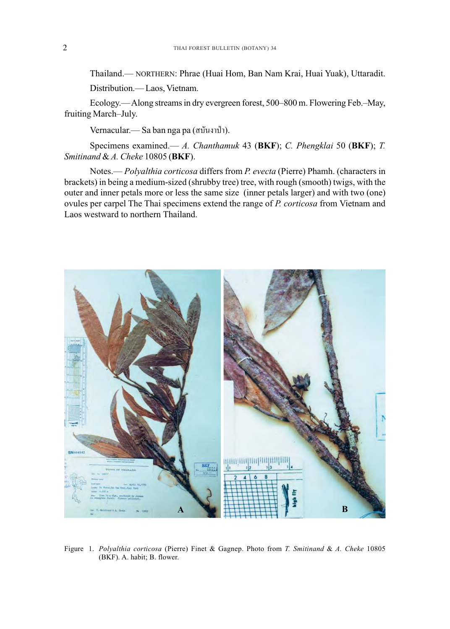Thailand.— NORTHERN: Phrae (Huai Hom, Ban Nam Krai, Huai Yuak), Uttaradit. Distribution.— Laos, Vietnam.

Ecology.—Along streams in dry evergreen forest, 500–800 m. Flowering Feb.–May, fruiting March–July.

Vernacular.— Sa ban nga pa (σύμνη ή).

Specimens examined.— *A. Chanthamuk* 43 (**BKF**); *C. Phengklai* 50 (**BKF**); *T. Smitinand* & *A. Cheke* 10805 (**BKF**).

Notes.— *Polyalthia corticosa* differs from *P. evecta* (Pierre) Phamh. (characters in brackets) in being a medium-sized (shrubby tree) tree, with rough (smooth) twigs, with the outer and inner petals more or less the same size (inner petals larger) and with two (one) ovules per carpel The Thai specimens extend the range of *P. corticosa* from Vietnam and Laos westward to northern Thailand.



Figure 1. *Polyalthia corticosa* (Pierre) Finet & Gagnep. Photo from *T. Smitinand* & *A. Cheke* 10805 (BKF). A. habit; B. flower.